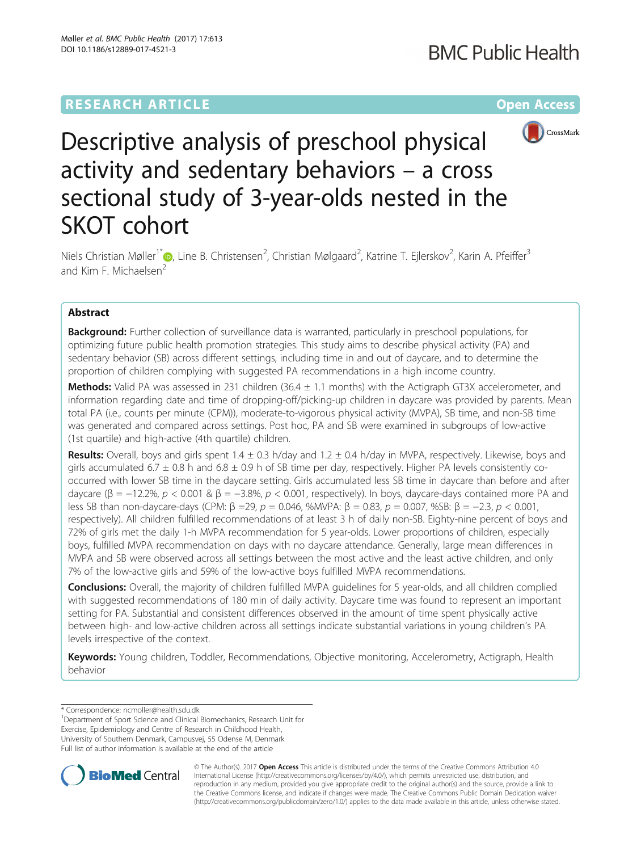# **RESEARCH ARTICLE Example 2014 12:30 The Community Community Community Community Community Community Community**



Descriptive analysis of preschool physical activity and sedentary behaviors – a cross sectional study of 3-year-olds nested in the SKOT cohort

Niels Christian Møller<sup>1\*</sup>�, Line B. Christensen<sup>2</sup>, Christian Mølgaard<sup>2</sup>, Katrine T. Ejlerskov<sup>2</sup>, Karin A. Pfeiffer<sup>3</sup> and Kim F. Michaelsen<sup>2</sup>

# Abstract

**Background:** Further collection of surveillance data is warranted, particularly in preschool populations, for optimizing future public health promotion strategies. This study aims to describe physical activity (PA) and sedentary behavior (SB) across different settings, including time in and out of daycare, and to determine the proportion of children complying with suggested PA recommendations in a high income country.

Methods: Valid PA was assessed in 231 children (36.4  $\pm$  1.1 months) with the Actigraph GT3X accelerometer, and information regarding date and time of dropping-off/picking-up children in daycare was provided by parents. Mean total PA (i.e., counts per minute (CPM)), moderate-to-vigorous physical activity (MVPA), SB time, and non-SB time was generated and compared across settings. Post hoc, PA and SB were examined in subgroups of low-active (1st quartile) and high-active (4th quartile) children.

**Results:** Overall, boys and girls spent  $1.4 \pm 0.3$  h/day and  $1.2 \pm 0.4$  h/day in MVPA, respectively. Likewise, boys and girls accumulated 6.7  $\pm$  0.8 h and 6.8  $\pm$  0.9 h of SB time per day, respectively. Higher PA levels consistently cooccurred with lower SB time in the daycare setting. Girls accumulated less SB time in daycare than before and after daycare ( $\beta = -12.2\%$ ,  $p < 0.001$  &  $\beta = -3.8\%$ ,  $p < 0.001$ , respectively). In boys, daycare-days contained more PA and less SB than non-daycare-days (CPM: β =29, p = 0.046, %MVPA: β = 0.83, p = 0.007, %SB: β = -2.3, p < 0.001, respectively). All children fulfilled recommendations of at least 3 h of daily non-SB. Eighty-nine percent of boys and 72% of girls met the daily 1-h MVPA recommendation for 5 year-olds. Lower proportions of children, especially boys, fulfilled MVPA recommendation on days with no daycare attendance. Generally, large mean differences in MVPA and SB were observed across all settings between the most active and the least active children, and only 7% of the low-active girls and 59% of the low-active boys fulfilled MVPA recommendations.

Conclusions: Overall, the majority of children fulfilled MVPA quidelines for 5 year-olds, and all children complied with suggested recommendations of 180 min of daily activity. Daycare time was found to represent an important setting for PA. Substantial and consistent differences observed in the amount of time spent physically active between high- and low-active children across all settings indicate substantial variations in young children's PA levels irrespective of the context.

Keywords: Young children, Toddler, Recommendations, Objective monitoring, Accelerometry, Actigraph, Health behavior

\* Correspondence: [ncmoller@health.sdu.dk](mailto:ncmoller@health.sdu.dk) <sup>1</sup>

<sup>1</sup>Department of Sport Science and Clinical Biomechanics, Research Unit for Exercise, Epidemiology and Centre of Research in Childhood Health, University of Southern Denmark, Campusvej, 55 Odense M, Denmark Full list of author information is available at the end of the article



© The Author(s). 2017 **Open Access** This article is distributed under the terms of the Creative Commons Attribution 4.0 International License [\(http://creativecommons.org/licenses/by/4.0/](http://creativecommons.org/licenses/by/4.0/)), which permits unrestricted use, distribution, and reproduction in any medium, provided you give appropriate credit to the original author(s) and the source, provide a link to the Creative Commons license, and indicate if changes were made. The Creative Commons Public Domain Dedication waiver [\(http://creativecommons.org/publicdomain/zero/1.0/](http://creativecommons.org/publicdomain/zero/1.0/)) applies to the data made available in this article, unless otherwise stated.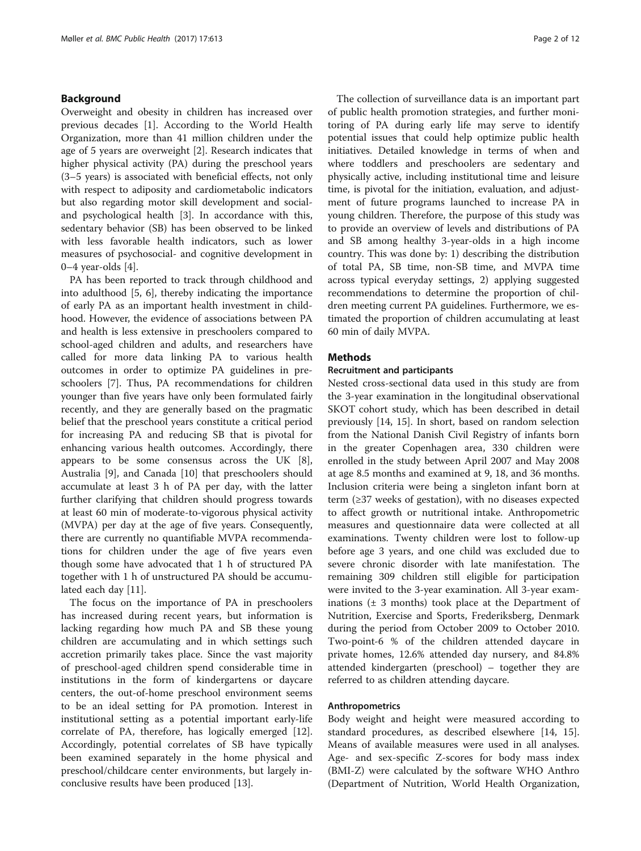# Background

Overweight and obesity in children has increased over previous decades [[1\]](#page-10-0). According to the World Health Organization, more than 41 million children under the age of 5 years are overweight [[2\]](#page-10-0). Research indicates that higher physical activity (PA) during the preschool years (3–5 years) is associated with beneficial effects, not only with respect to adiposity and cardiometabolic indicators but also regarding motor skill development and socialand psychological health [\[3\]](#page-10-0). In accordance with this, sedentary behavior (SB) has been observed to be linked with less favorable health indicators, such as lower measures of psychosocial- and cognitive development in 0–4 year-olds [\[4](#page-10-0)].

PA has been reported to track through childhood and into adulthood [[5, 6](#page-10-0)], thereby indicating the importance of early PA as an important health investment in childhood. However, the evidence of associations between PA and health is less extensive in preschoolers compared to school-aged children and adults, and researchers have called for more data linking PA to various health outcomes in order to optimize PA guidelines in preschoolers [[7\]](#page-10-0). Thus, PA recommendations for children younger than five years have only been formulated fairly recently, and they are generally based on the pragmatic belief that the preschool years constitute a critical period for increasing PA and reducing SB that is pivotal for enhancing various health outcomes. Accordingly, there appears to be some consensus across the UK [\[8](#page-10-0)], Australia [[9](#page-10-0)], and Canada [\[10\]](#page-10-0) that preschoolers should accumulate at least 3 h of PA per day, with the latter further clarifying that children should progress towards at least 60 min of moderate-to-vigorous physical activity (MVPA) per day at the age of five years. Consequently, there are currently no quantifiable MVPA recommendations for children under the age of five years even though some have advocated that 1 h of structured PA together with 1 h of unstructured PA should be accumulated each day [[11\]](#page-10-0).

The focus on the importance of PA in preschoolers has increased during recent years, but information is lacking regarding how much PA and SB these young children are accumulating and in which settings such accretion primarily takes place. Since the vast majority of preschool-aged children spend considerable time in institutions in the form of kindergartens or daycare centers, the out-of-home preschool environment seems to be an ideal setting for PA promotion. Interest in institutional setting as a potential important early-life correlate of PA, therefore, has logically emerged [\[12](#page-10-0)]. Accordingly, potential correlates of SB have typically been examined separately in the home physical and preschool/childcare center environments, but largely inconclusive results have been produced [\[13](#page-10-0)].

The collection of surveillance data is an important part of public health promotion strategies, and further monitoring of PA during early life may serve to identify potential issues that could help optimize public health initiatives. Detailed knowledge in terms of when and where toddlers and preschoolers are sedentary and physically active, including institutional time and leisure time, is pivotal for the initiation, evaluation, and adjustment of future programs launched to increase PA in young children. Therefore, the purpose of this study was to provide an overview of levels and distributions of PA and SB among healthy 3-year-olds in a high income country. This was done by: 1) describing the distribution of total PA, SB time, non-SB time, and MVPA time across typical everyday settings, 2) applying suggested recommendations to determine the proportion of children meeting current PA guidelines. Furthermore, we estimated the proportion of children accumulating at least 60 min of daily MVPA.

# **Methods**

#### Recruitment and participants

Nested cross-sectional data used in this study are from the 3-year examination in the longitudinal observational SKOT cohort study, which has been described in detail previously [\[14, 15](#page-10-0)]. In short, based on random selection from the National Danish Civil Registry of infants born in the greater Copenhagen area, 330 children were enrolled in the study between April 2007 and May 2008 at age 8.5 months and examined at 9, 18, and 36 months. Inclusion criteria were being a singleton infant born at term (≥37 weeks of gestation), with no diseases expected to affect growth or nutritional intake. Anthropometric measures and questionnaire data were collected at all examinations. Twenty children were lost to follow-up before age 3 years, and one child was excluded due to severe chronic disorder with late manifestation. The remaining 309 children still eligible for participation were invited to the 3-year examination. All 3-year examinations  $(\pm 3 \text{ months})$  took place at the Department of Nutrition, Exercise and Sports, Frederiksberg, Denmark during the period from October 2009 to October 2010. Two-point-6 % of the children attended daycare in private homes, 12.6% attended day nursery, and 84.8% attended kindergarten (preschool) – together they are referred to as children attending daycare.

### Anthropometrics

Body weight and height were measured according to standard procedures, as described elsewhere [[14, 15](#page-10-0)]. Means of available measures were used in all analyses. Age- and sex-specific Z-scores for body mass index (BMI-Z) were calculated by the software WHO Anthro (Department of Nutrition, World Health Organization,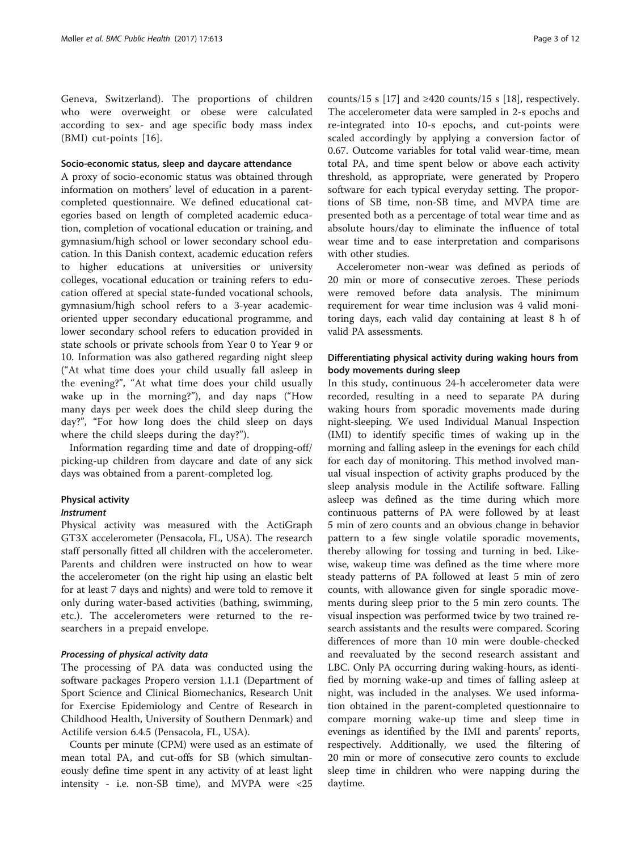Geneva, Switzerland). The proportions of children who were overweight or obese were calculated according to sex- and age specific body mass index (BMI) cut-points [\[16](#page-10-0)].

#### Socio-economic status, sleep and daycare attendance

A proxy of socio-economic status was obtained through information on mothers' level of education in a parentcompleted questionnaire. We defined educational categories based on length of completed academic education, completion of vocational education or training, and gymnasium/high school or lower secondary school education. In this Danish context, academic education refers to higher educations at universities or university colleges, vocational education or training refers to education offered at special state-funded vocational schools, gymnasium/high school refers to a 3-year academicoriented upper secondary educational programme, and lower secondary school refers to education provided in state schools or private schools from Year 0 to Year 9 or 10. Information was also gathered regarding night sleep ("At what time does your child usually fall asleep in the evening?", "At what time does your child usually wake up in the morning?"), and day naps ("How many days per week does the child sleep during the day?", "For how long does the child sleep on days where the child sleeps during the day?").

Information regarding time and date of dropping-off/ picking-up children from daycare and date of any sick days was obtained from a parent-completed log.

# Physical activity

### Instrument

Physical activity was measured with the ActiGraph GT3X accelerometer (Pensacola, FL, USA). The research staff personally fitted all children with the accelerometer. Parents and children were instructed on how to wear the accelerometer (on the right hip using an elastic belt for at least 7 days and nights) and were told to remove it only during water-based activities (bathing, swimming, etc.). The accelerometers were returned to the researchers in a prepaid envelope.

#### Processing of physical activity data

The processing of PA data was conducted using the software packages Propero version 1.1.1 (Department of Sport Science and Clinical Biomechanics, Research Unit for Exercise Epidemiology and Centre of Research in Childhood Health, University of Southern Denmark) and Actilife version 6.4.5 (Pensacola, FL, USA).

Counts per minute (CPM) were used as an estimate of mean total PA, and cut-offs for SB (which simultaneously define time spent in any activity of at least light intensity - i.e. non-SB time), and MVPA were <25

counts/15 s [[17\]](#page-10-0) and  $\geq$ 420 counts/15 s [[18](#page-11-0)], respectively. The accelerometer data were sampled in 2-s epochs and re-integrated into 10-s epochs, and cut-points were scaled accordingly by applying a conversion factor of 0.67. Outcome variables for total valid wear-time, mean total PA, and time spent below or above each activity threshold, as appropriate, were generated by Propero software for each typical everyday setting. The proportions of SB time, non-SB time, and MVPA time are presented both as a percentage of total wear time and as absolute hours/day to eliminate the influence of total wear time and to ease interpretation and comparisons with other studies.

Accelerometer non-wear was defined as periods of 20 min or more of consecutive zeroes. These periods were removed before data analysis. The minimum requirement for wear time inclusion was 4 valid monitoring days, each valid day containing at least 8 h of valid PA assessments.

# Differentiating physical activity during waking hours from body movements during sleep

In this study, continuous 24-h accelerometer data were recorded, resulting in a need to separate PA during waking hours from sporadic movements made during night-sleeping. We used Individual Manual Inspection (IMI) to identify specific times of waking up in the morning and falling asleep in the evenings for each child for each day of monitoring. This method involved manual visual inspection of activity graphs produced by the sleep analysis module in the Actilife software. Falling asleep was defined as the time during which more continuous patterns of PA were followed by at least 5 min of zero counts and an obvious change in behavior pattern to a few single volatile sporadic movements, thereby allowing for tossing and turning in bed. Likewise, wakeup time was defined as the time where more steady patterns of PA followed at least 5 min of zero counts, with allowance given for single sporadic movements during sleep prior to the 5 min zero counts. The visual inspection was performed twice by two trained research assistants and the results were compared. Scoring differences of more than 10 min were double-checked and reevaluated by the second research assistant and LBC. Only PA occurring during waking-hours, as identified by morning wake-up and times of falling asleep at night, was included in the analyses. We used information obtained in the parent-completed questionnaire to compare morning wake-up time and sleep time in evenings as identified by the IMI and parents' reports, respectively. Additionally, we used the filtering of 20 min or more of consecutive zero counts to exclude sleep time in children who were napping during the daytime.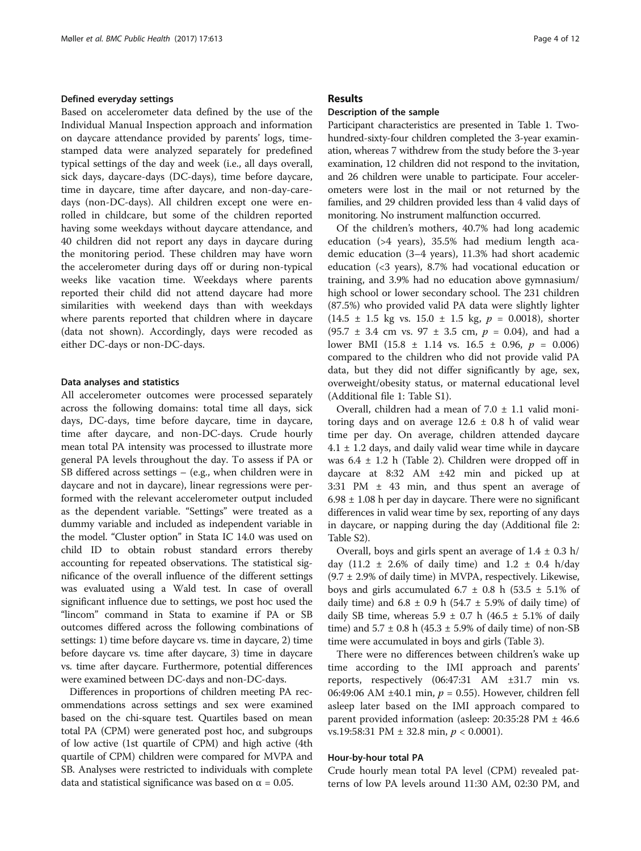#### Defined everyday settings

Based on accelerometer data defined by the use of the Individual Manual Inspection approach and information on daycare attendance provided by parents' logs, timestamped data were analyzed separately for predefined typical settings of the day and week (i.e., all days overall, sick days, daycare-days (DC-days), time before daycare, time in daycare, time after daycare, and non-day-caredays (non-DC-days). All children except one were enrolled in childcare, but some of the children reported having some weekdays without daycare attendance, and 40 children did not report any days in daycare during the monitoring period. These children may have worn the accelerometer during days off or during non-typical weeks like vacation time. Weekdays where parents reported their child did not attend daycare had more similarities with weekend days than with weekdays where parents reported that children where in daycare (data not shown). Accordingly, days were recoded as either DC-days or non-DC-days.

#### Data analyses and statistics

All accelerometer outcomes were processed separately across the following domains: total time all days, sick days, DC-days, time before daycare, time in daycare, time after daycare, and non-DC-days. Crude hourly mean total PA intensity was processed to illustrate more general PA levels throughout the day. To assess if PA or SB differed across settings – (e.g., when children were in daycare and not in daycare), linear regressions were performed with the relevant accelerometer output included as the dependent variable. "Settings" were treated as a dummy variable and included as independent variable in the model. "Cluster option" in Stata IC 14.0 was used on child ID to obtain robust standard errors thereby accounting for repeated observations. The statistical significance of the overall influence of the different settings was evaluated using a Wald test. In case of overall significant influence due to settings, we post hoc used the "lincom" command in Stata to examine if PA or SB outcomes differed across the following combinations of settings: 1) time before daycare vs. time in daycare, 2) time before daycare vs. time after daycare, 3) time in daycare vs. time after daycare. Furthermore, potential differences were examined between DC-days and non-DC-days.

Differences in proportions of children meeting PA recommendations across settings and sex were examined based on the chi-square test. Quartiles based on mean total PA (CPM) were generated post hoc, and subgroups of low active (1st quartile of CPM) and high active (4th quartile of CPM) children were compared for MVPA and SB. Analyses were restricted to individuals with complete data and statistical significance was based on  $\alpha = 0.05$ .

### Results

#### Description of the sample

Participant characteristics are presented in Table [1](#page-4-0). Twohundred-sixty-four children completed the 3-year examination, whereas 7 withdrew from the study before the 3-year examination, 12 children did not respond to the invitation, and 26 children were unable to participate. Four accelerometers were lost in the mail or not returned by the families, and 29 children provided less than 4 valid days of monitoring. No instrument malfunction occurred.

Of the children's mothers, 40.7% had long academic education (>4 years), 35.5% had medium length academic education (3–4 years), 11.3% had short academic education (<3 years), 8.7% had vocational education or training, and 3.9% had no education above gymnasium/ high school or lower secondary school. The 231 children (87.5%) who provided valid PA data were slightly lighter  $(14.5 \pm 1.5 \text{ kg} \text{ vs. } 15.0 \pm 1.5 \text{ kg}, p = 0.0018)$ , shorter  $(95.7 \pm 3.4 \text{ cm vs. } 97 \pm 3.5 \text{ cm}, p = 0.04)$ , and had a lower BMI (15.8  $\pm$  1.14 vs. 16.5  $\pm$  0.96,  $p = 0.006$ ) compared to the children who did not provide valid PA data, but they did not differ significantly by age, sex, overweight/obesity status, or maternal educational level (Additional file [1](#page-10-0): Table S1).

Overall, children had a mean of  $7.0 \pm 1.1$  valid monitoring days and on average  $12.6 \pm 0.8$  h of valid wear time per day. On average, children attended daycare  $4.1 \pm 1.2$  days, and daily valid wear time while in daycare was  $6.4 \pm 1.2$  h (Table [2\)](#page-4-0). Children were dropped off in daycare at 8:32 AM ±42 min and picked up at 3:31 PM ± 43 min, and thus spent an average of  $6.98 \pm 1.08$  h per day in daycare. There were no significant differences in valid wear time by sex, reporting of any days in daycare, or napping during the day (Additional file [2](#page-10-0): Table S2).

Overall, boys and girls spent an average of  $1.4 \pm 0.3$  h/ day (11.2  $\pm$  2.6% of daily time) and 1.2  $\pm$  0.4 h/day  $(9.7 \pm 2.9\%$  of daily time) in MVPA, respectively. Likewise, boys and girls accumulated 6.7  $\pm$  0.8 h (53.5  $\pm$  5.1% of daily time) and  $6.8 \pm 0.9$  h (54.7  $\pm$  5.9% of daily time) of daily SB time, whereas  $5.9 \pm 0.7$  h (46.5  $\pm$  5.1% of daily time) and  $5.7 \pm 0.8$  h (45.3  $\pm$  5.9% of daily time) of non-SB time were accumulated in boys and girls (Table [3\)](#page-5-0).

There were no differences between children's wake up time according to the IMI approach and parents' reports, respectively (06:47:31 AM ±31.7 min vs. 06:49:06 AM  $\pm$ 40.1 min,  $p = 0.55$ ). However, children fell asleep later based on the IMI approach compared to parent provided information (asleep: 20:35:28 PM  $\pm$  46.6 vs.19:58:31 PM  $\pm$  32.8 min,  $p < 0.0001$ ).

#### Hour-by-hour total PA

Crude hourly mean total PA level (CPM) revealed patterns of low PA levels around 11:30 AM, 02:30 PM, and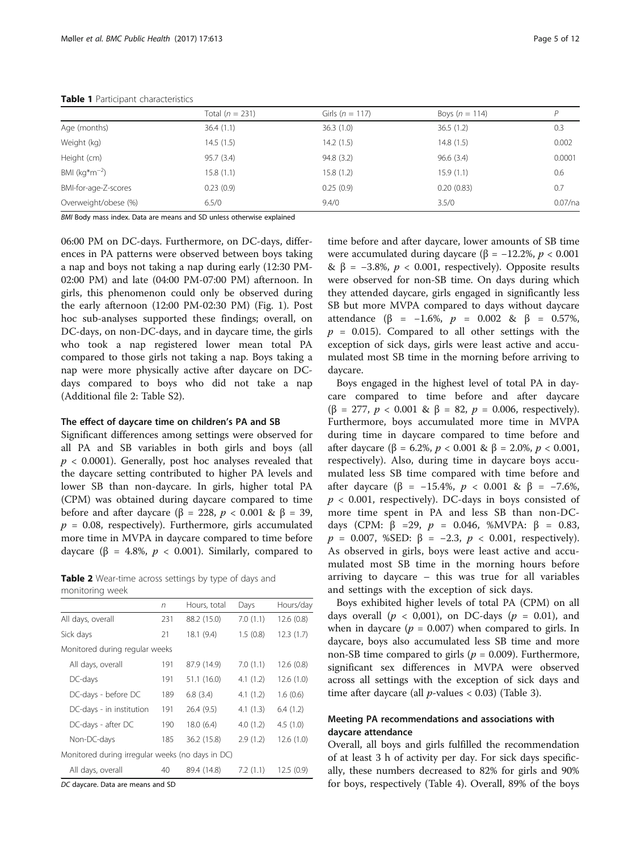|                      | Total $(n = 231)$ | Girls ( $n = 117$ ) | Boys ( $n = 114$ ) |         |
|----------------------|-------------------|---------------------|--------------------|---------|
| Age (months)         | 36.4(1.1)         | 36.3(1.0)           | 36.5(1.2)          | 0.3     |
| Weight (kg)          | 14.5(1.5)         | 14.2(1.5)           | 14.8(1.5)          | 0.002   |
| Height (cm)          | 95.7(3.4)         | 94.8(3.2)           | 96.6(3.4)          | 0.0001  |
| BMI ( $kg* m^{-2}$ ) | 15.8(1.1)         | 15.8(1.2)           | 15.9(1.1)          | 0.6     |
| BMI-for-age-Z-scores | 0.23(0.9)         | 0.25(0.9)           | 0.20(0.83)         | 0.7     |
| Overweight/obese (%) | 6.5/0             | 9.4/0               | 3.5/0              | 0.07/na |

<span id="page-4-0"></span>Table 1 Participant characteristics

BMI Body mass index. Data are means and SD unless otherwise explained

06:00 PM on DC-days. Furthermore, on DC-days, differences in PA patterns were observed between boys taking a nap and boys not taking a nap during early (12:30 PM-02:00 PM) and late (04:00 PM-07:00 PM) afternoon. In girls, this phenomenon could only be observed during the early afternoon (12:00 PM-02:30 PM) (Fig. [1](#page-5-0)). Post hoc sub-analyses supported these findings; overall, on DC-days, on non-DC-days, and in daycare time, the girls who took a nap registered lower mean total PA compared to those girls not taking a nap. Boys taking a nap were more physically active after daycare on DCdays compared to boys who did not take a nap (Additional file [2](#page-10-0): Table S2).

#### The effect of daycare time on children's PA and SB

Significant differences among settings were observed for all PA and SB variables in both girls and boys (all  $p < 0.0001$ ). Generally, post hoc analyses revealed that the daycare setting contributed to higher PA levels and lower SB than non-daycare. In girls, higher total PA (CPM) was obtained during daycare compared to time before and after daycare (β = 228,  $p < 0.001$  & β = 39,  $p = 0.08$ , respectively). Furthermore, girls accumulated more time in MVPA in daycare compared to time before daycare ( $\beta$  = 4.8%,  $p$  < 0.001). Similarly, compared to

| Table 2 Wear-time across settings by type of days and |  |  |  |  |  |
|-------------------------------------------------------|--|--|--|--|--|
| monitoring week                                       |  |  |  |  |  |

|                                                  | n   | Hours, total | Days     | Hours/day |
|--------------------------------------------------|-----|--------------|----------|-----------|
| All days, overall                                | 231 | 88.2 (15.0)  | 7.0(1.1) | 12.6(0.8) |
| Sick days                                        | 21  | 18.1(9.4)    | 1.5(0.8) | 12.3(1.7) |
| Monitored during regular weeks                   |     |              |          |           |
| All days, overall                                | 191 | 87.9 (14.9)  | 7.0(1.1) | 12.6(0.8) |
| DC-days                                          | 191 | 51.1 (16.0)  | 4.1(1.2) | 12.6(1.0) |
| DC-days - before DC                              | 189 | 6.8(3.4)     | 4.1(1.2) | 1.6(0.6)  |
| DC-days - in institution                         | 191 | 26.4(9.5)    | 4.1(1.3) | 6.4(1.2)  |
| DC-days - after DC                               | 190 | 18.0(6.4)    | 4.0(1.2) | 4.5(1.0)  |
| Non-DC-days                                      | 185 | 36.2 (15.8)  | 2.9(1.2) | 12.6(1.0) |
| Monitored during irregular weeks (no days in DC) |     |              |          |           |
| All days, overall                                | 40  | 89.4 (14.8)  | 7.2(1.1) | 12.5(0.9) |

DC daycare. Data are means and SD

time before and after daycare, lower amounts of SB time were accumulated during daycare ( $\beta$  = -12.2%, *p* < 0.001 &  $\beta$  = -3.8%,  $p < 0.001$ , respectively). Opposite results were observed for non-SB time. On days during which they attended daycare, girls engaged in significantly less SB but more MVPA compared to days without daycare attendance (β = −1.6%,  $p = 0.002$  & β = 0.57%,  $p = 0.015$ ). Compared to all other settings with the exception of sick days, girls were least active and accumulated most SB time in the morning before arriving to daycare.

Boys engaged in the highest level of total PA in daycare compared to time before and after daycare ( $\beta$  = 277,  $p$  < 0.001 &  $\beta$  = 82,  $p$  = 0.006, respectively). Furthermore, boys accumulated more time in MVPA during time in daycare compared to time before and after daycare (β = 6.2%,  $p < 0.001$  & β = 2.0%,  $p < 0.001$ , respectively). Also, during time in daycare boys accumulated less SB time compared with time before and after daycare (β = -15.4%,  $p$  < 0.001 & β = -7.6%,  $p < 0.001$ , respectively). DC-days in boys consisted of more time spent in PA and less SB than non-DCdays (CPM: β = 29,  $p = 0.046$ , %MVPA: β = 0.83,  $p = 0.007$ , %SED: β = -2.3,  $p < 0.001$ , respectively). As observed in girls, boys were least active and accumulated most SB time in the morning hours before arriving to daycare – this was true for all variables and settings with the exception of sick days.

Boys exhibited higher levels of total PA (CPM) on all days overall ( $p < 0,001$ ), on DC-days ( $p = 0.01$ ), and when in daycare ( $p = 0.007$ ) when compared to girls. In daycare, boys also accumulated less SB time and more non-SB time compared to girls ( $p = 0.009$ ). Furthermore, significant sex differences in MVPA were observed across all settings with the exception of sick days and time after daycare (all  $p$ -values < 0.03) (Table [3\)](#page-5-0).

# Meeting PA recommendations and associations with daycare attendance

Overall, all boys and girls fulfilled the recommendation of at least 3 h of activity per day. For sick days specifically, these numbers decreased to 82% for girls and 90% for boys, respectively (Table [4](#page-6-0)). Overall, 89% of the boys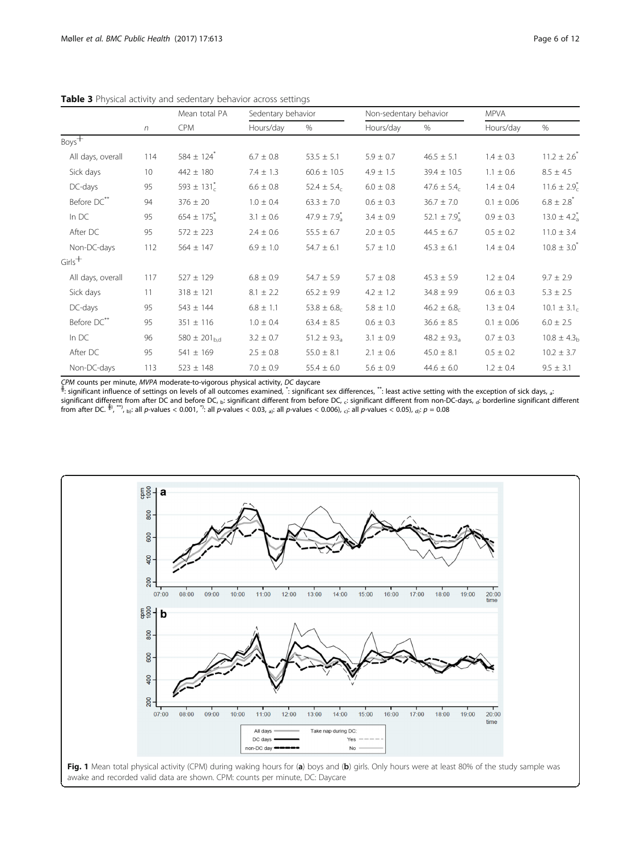|                      | Mean total PA |                             | Sedentary behavior |                             | Non-sedentary behavior |                             | <b>MPVA</b>    |                             |
|----------------------|---------------|-----------------------------|--------------------|-----------------------------|------------------------|-----------------------------|----------------|-----------------------------|
|                      | $\eta$        | <b>CPM</b>                  | Hours/day          | $\%$                        | Hours/day              | %                           | Hours/day      | %                           |
| $Boys+$              |               |                             |                    |                             |                        |                             |                |                             |
| All days, overall    | 114           | $584 \pm 124$ <sup>*</sup>  | $6.7 \pm 0.8$      | $53.5 \pm 5.1$              | $5.9 \pm 0.7$          | $46.5 \pm 5.1$              | $1.4 \pm 0.3$  | $11.2 \pm 2.6^*$            |
| Sick days            | 10            | $442 \pm 180$               | $7.4 \pm 1.3$      | $60.6 \pm 10.5$             | $4.9 \pm 1.5$          | $39.4 \pm 10.5$             | $1.1 \pm 0.6$  | $8.5 \pm 4.5$               |
| DC-days              | 95            | 593 ± 131 $_{c}^{*}$        | $6.6 \pm 0.8$      | 52.4 $\pm$ 5.4 $_c$         | $6.0 \pm 0.8$          | 47.6 $\pm$ 5.4 $_c$         | $1.4 \pm 0.4$  | $11.6 \pm 2.9_c^*$          |
| Before DC**          | 94            | $376 \pm 20$                | $1.0 \pm 0.4$      | $63.3 \pm 7.0$              | $0.6 \pm 0.3$          | $36.7 \pm 7.0$              | $0.1 \pm 0.06$ | $6.8 \pm 2.8$ <sup>*</sup>  |
| In DC                | 95            | $654 \pm 175^{*}$           | $3.1 \pm 0.6$      | $47.9 \pm 7.9^{*}$          | $3.4 \pm 0.9$          | 52.1 $\pm$ 7.9 <sup>*</sup> | $0.9 \pm 0.3$  | $13.0 \pm 4.2^{*}$          |
| After DC             | 95            | $572 \pm 223$               | $2.4 \pm 0.6$      | $55.5 \pm 6.7$              | $2.0 \pm 0.5$          | $44.5 \pm 6.7$              | $0.5 \pm 0.2$  | $11.0 \pm 3.4$              |
| Non-DC-days          | 112           | $564 \pm 147$               | $6.9 \pm 1.0$      | $54.7 \pm 6.1$              | $5.7 \pm 1.0$          | $45.3 \pm 6.1$              | $1.4 \pm 0.4$  | $10.8 \pm 3.0^*$            |
| $Girls$ <sup>+</sup> |               |                             |                    |                             |                        |                             |                |                             |
| All days, overall    | 117           | $527 \pm 129$               | $6.8 \pm 0.9$      | $54.7 \pm 5.9$              | $5.7 \pm 0.8$          | $45.3 \pm 5.9$              | $1.2 \pm 0.4$  | $9.7 \pm 2.9$               |
| Sick days            | 11            | $318 \pm 121$               | $8.1 \pm 2.2$      | $65.2 \pm 9.9$              | $4.2 \pm 1.2$          | $34.8 \pm 9.9$              | $0.6 \pm 0.3$  | $5.3 \pm 2.5$               |
| DC-days              | 95            | $543 \pm 144$               | $6.8\pm\,1.1$      | 53.8 $\pm$ 6.8 <sub>c</sub> | $5.8 \pm 1.0$          | $46.2 \pm 6.8$              | $1.3 \pm 0.4$  | 10.1 $\pm$ 3.1 <sub>c</sub> |
| Before DC**          | 95            | $351 \pm 116$               | $1.0 \pm 0.4$      | $63.4 \pm 8.5$              | $0.6 \pm 0.3$          | $36.6 \pm 8.5$              | $0.1 \pm 0.06$ | $6.0 \pm 2.5$               |
| In DC                | 96            | 580 $\pm$ 201 <sub>bd</sub> | $3.2 \pm 0.7$      | $51.2 \pm 9.3$ <sub>a</sub> | $3.1 \pm 0.9$          | 48.2 $\pm$ 9.3.             | $0.7 \pm 0.3$  | $10.8 \pm 4.3_h$            |
| After DC             | 95            | $541 \pm 169$               | $2.5 \pm 0.8$      | $55.0 \pm 8.1$              | $2.1 \pm 0.6$          | $45.0 \pm 8.1$              | $0.5 \pm 0.2$  | $10.2 \pm 3.7$              |
| Non-DC-days          | 113           | $523 \pm 148$               | $7.0 \pm 0.9$      | $55.4 \pm 6.0$              | $5.6 \pm 0.9$          | $44.6 \pm 6.0$              | $1.2 \pm 0.4$  | $9.5 \pm 3.1$               |

<span id="page-5-0"></span>Table 3 Physical activity and sedentary behavior across settings

CPM counts per minute, MVPA moderate-to-vigorous physical activity, DC daycare<br> $^\dagger$ : significant influence of settings on levels of all outcomes examined,  $\ddot$ : significant sex differences,  $\ddot{\ddot{\ }}$ : least active sett significant different from after DC and before DC, b: significant different from before DC, c: significant different from non-DC-days, d: borderline significant different from after DC.  $^{1\!\#}$ ,  $^{**}$ , <sub>b)</sub>: all *p-*values < 0.001,  $^{*}$ : all *p-*values < 0.03, <sub>a)</sub>: all *p-*values < 0.006), <sub>c)</sub>: all *p-*values < 0.05), <sub>d)</sub>:  $p=0.08$ 

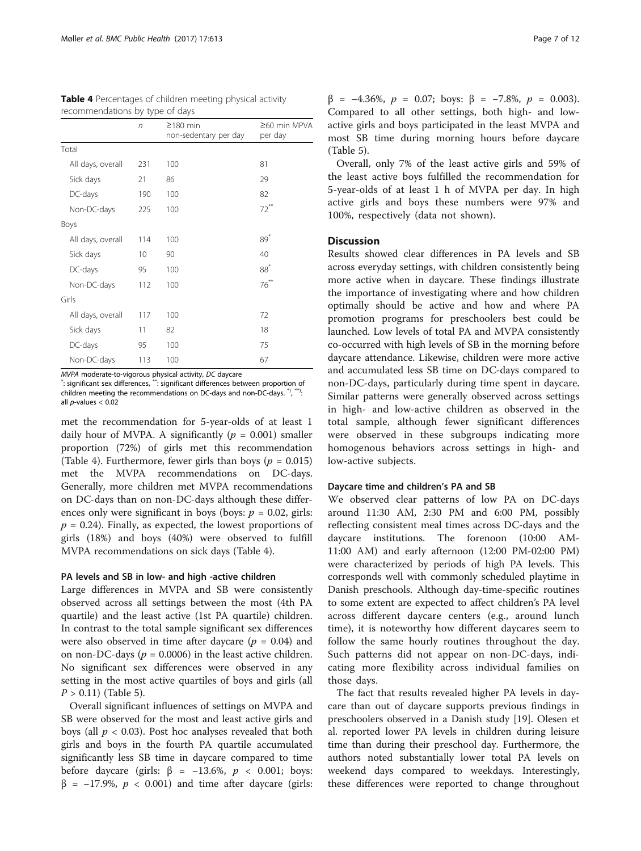<span id="page-6-0"></span>

| Table 4 Percentages of children meeting physical activity |
|-----------------------------------------------------------|
| recommendations by type of days                           |

|                   | n   | $\geq$ 180 min<br>non-sedentary per day | $\geq 60$ min MPVA<br>per day |
|-------------------|-----|-----------------------------------------|-------------------------------|
| Total             |     |                                         |                               |
| All days, overall | 231 | 100                                     | 81                            |
| Sick days         | 21  | 86                                      | 29                            |
| DC-days           | 190 | 100                                     | 82                            |
| Non-DC-days       | 225 | 100                                     | $72***$                       |
| Boys              |     |                                         |                               |
| All days, overall | 114 | 100                                     | 89*                           |
| Sick days         | 10  | 90                                      | 40                            |
| DC-days           | 95  | 100                                     | $88^{\degree}$                |
| Non-DC-days       | 112 | 100                                     | $76***$                       |
| Girls             |     |                                         |                               |
| All days, overall | 117 | 100                                     | 72                            |
| Sick days         | 11  | 82                                      | 18                            |
| DC-days           | 95  | 100                                     | 75                            |
| Non-DC-days       | 113 | 100                                     | 67                            |
|                   |     |                                         |                               |

MVPA moderate-to-vigorous physical activity, DC daycare \*

: significant sex differences, \*\*: significant differences between proportion of children meeting the recommendations on DC-days and non-DC-days. \*), \*\*): all p-values < 0.02

met the recommendation for 5-year-olds of at least 1 daily hour of MVPA. A significantly ( $p = 0.001$ ) smaller proportion (72%) of girls met this recommendation (Table 4). Furthermore, fewer girls than boys ( $p = 0.015$ ) met the MVPA recommendations on DC-days. Generally, more children met MVPA recommendations on DC-days than on non-DC-days although these differences only were significant in boys (boys:  $p = 0.02$ , girls:  $p = 0.24$ ). Finally, as expected, the lowest proportions of girls (18%) and boys (40%) were observed to fulfill MVPA recommendations on sick days (Table 4).

### PA levels and SB in low- and high -active children

Large differences in MVPA and SB were consistently observed across all settings between the most (4th PA quartile) and the least active (1st PA quartile) children. In contrast to the total sample significant sex differences were also observed in time after daycare ( $p = 0.04$ ) and on non-DC-days ( $p = 0.0006$ ) in the least active children. No significant sex differences were observed in any setting in the most active quartiles of boys and girls (all  $P > 0.11$ ) (Table [5\)](#page-7-0).

Overall significant influences of settings on MVPA and SB were observed for the most and least active girls and boys (all  $p < 0.03$ ). Post hoc analyses revealed that both girls and boys in the fourth PA quartile accumulated significantly less SB time in daycare compared to time before daycare (girls:  $\beta$  = -13.6%,  $p$  < 0.001; boys:  $β = -17.9%, p < 0.001$  and time after daycare (girls: β = −4.36%, p = 0.07; boys: β = −7.8%, p = 0.003). Compared to all other settings, both high- and lowactive girls and boys participated in the least MVPA and most SB time during morning hours before daycare (Table [5\)](#page-7-0).

Overall, only 7% of the least active girls and 59% of the least active boys fulfilled the recommendation for 5-year-olds of at least 1 h of MVPA per day. In high active girls and boys these numbers were 97% and 100%, respectively (data not shown).

### **Discussion**

Results showed clear differences in PA levels and SB across everyday settings, with children consistently being more active when in daycare. These findings illustrate the importance of investigating where and how children optimally should be active and how and where PA promotion programs for preschoolers best could be launched. Low levels of total PA and MVPA consistently co-occurred with high levels of SB in the morning before daycare attendance. Likewise, children were more active and accumulated less SB time on DC-days compared to non-DC-days, particularly during time spent in daycare. Similar patterns were generally observed across settings in high- and low-active children as observed in the total sample, although fewer significant differences were observed in these subgroups indicating more homogenous behaviors across settings in high- and low-active subjects.

### Daycare time and children's PA and SB

We observed clear patterns of low PA on DC-days around 11:30 AM, 2:30 PM and 6:00 PM, possibly reflecting consistent meal times across DC-days and the daycare institutions. The forenoon (10:00 AM-11:00 AM) and early afternoon (12:00 PM-02:00 PM) were characterized by periods of high PA levels. This corresponds well with commonly scheduled playtime in Danish preschools. Although day-time-specific routines to some extent are expected to affect children's PA level across different daycare centers (e.g., around lunch time), it is noteworthy how different daycares seem to follow the same hourly routines throughout the day. Such patterns did not appear on non-DC-days, indicating more flexibility across individual families on those days.

The fact that results revealed higher PA levels in daycare than out of daycare supports previous findings in preschoolers observed in a Danish study [\[19](#page-11-0)]. Olesen et al. reported lower PA levels in children during leisure time than during their preschool day. Furthermore, the authors noted substantially lower total PA levels on weekend days compared to weekdays. Interestingly, these differences were reported to change throughout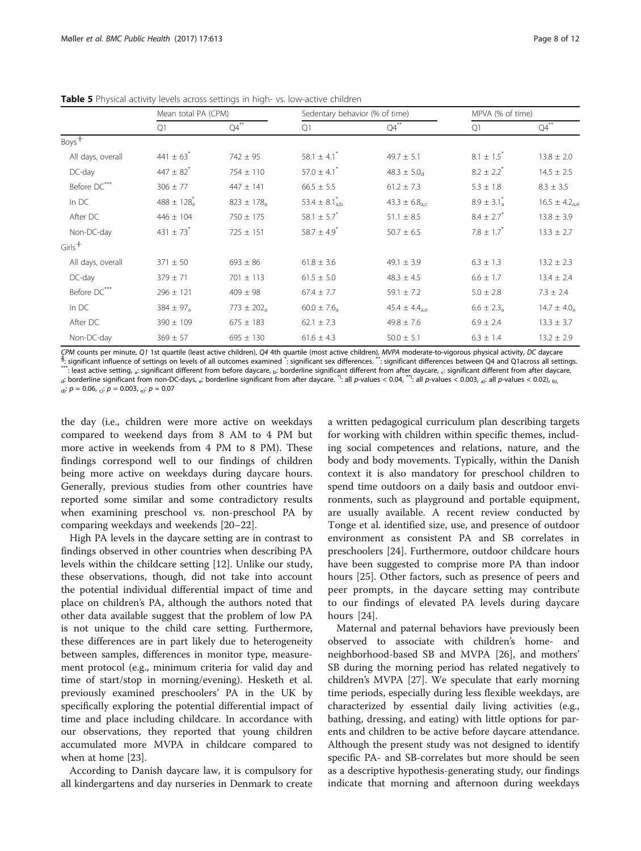|                      | Mean total PA (CPM)       |                            | Sedentary behavior (% of time)            |                              | MPVA (% of time)           |                              |  |
|----------------------|---------------------------|----------------------------|-------------------------------------------|------------------------------|----------------------------|------------------------------|--|
|                      | Q1                        | $Q4$ **                    | Q1                                        | $Q4$ <sup>**</sup>           | Q1                         | $Q4$ <sup>**</sup>           |  |
| Boys <sup>+</sup>    |                           |                            |                                           |                              |                            |                              |  |
| All days, overall    | 441 $\pm$ 63 <sup>*</sup> | $742 \pm 95$               | 58.1 $\pm$ 4.1 <sup>*</sup>               | $49.7 \pm 5.1$               | $8.1 \pm 1.5$ <sup>*</sup> | $13.8 \pm 2.0$               |  |
| DC-day               | $447 \pm 82^{*}$          | $754 \pm 110$              | $57.0 \pm 4.1$ <sup>*</sup>               | $48.3 \pm 5.0_A$             | $8.2 \pm 2.2$ <sup>*</sup> | $14.5 \pm 2.5$               |  |
| Before DC***         | $306 \pm 77$              | $447 \pm 141$              | $66.5 \pm 5.5$                            | $61.2 \pm 7.3$               | $5.3 \pm 1.8$              | $8.3 \pm 3.5$                |  |
| In $DC$              | $488 \pm 128_{a}^{*}$     | $823 \pm 178$ <sub>a</sub> | 53.4 $\pm$ 8.1 <sup>*</sup> <sub>ah</sub> | 43.3 $\pm$ 6.8 <sub>ac</sub> | $8.9 \pm 3.1^{\circ}$      | $16.5 \pm 4.2$ <sub>ae</sub> |  |
| After DC             | $446 \pm 104$             | $750 \pm 175$              | 58.1 $\pm$ 5.7 <sup>*</sup>               | $51.1 \pm 8.5$               | $8.4 \pm 2.7$ <sup>*</sup> | $13.8 \pm 3.9$               |  |
| Non-DC-day           | 431 $\pm$ 73 <sup>*</sup> | $725 \pm 151$              | 58.7 $\pm$ 4.9 <sup>*</sup>               | $50.7 \pm 6.5$               | $7.8 \pm 1.7$ <sup>*</sup> | $13.3 \pm 2.7$               |  |
| $Girls$ <sup>+</sup> |                           |                            |                                           |                              |                            |                              |  |
| All days, overall    | $371 \pm 50$              | $693 \pm 86$               | $61.8 \pm 3.6$                            | $49.1 \pm 3.9$               | $6.3 \pm 1.3$              | $13.2 \pm 2.3$               |  |
| DC-day               | $379 \pm 71$              | $701 \pm 113$              | $61.5 \pm 5.0$                            | $48.3 \pm 4.5$               | $6.6 \pm 1.7$              | $13.4 \pm 2.4$               |  |
| Before DC***         | $296 \pm 121$             | $409 \pm 98$               | $67.4 \pm 7.7$                            | $59.1 \pm 7.2$               | $5.0 \pm 2.8$              | $7.3 \pm 2.4$                |  |
| In DC                | $384 \pm 97$              | $773 \pm 202$ <sub>a</sub> | $60.0 \pm 7.6$                            | 45.4 $\pm$ 4.4 <sub>ae</sub> | $6.6 \pm 2.3$              | $14.7 \pm 4.0$ <sub>a</sub>  |  |
| After DC             | $390 \pm 109$             | $675 \pm 183$              | $62.1 \pm 7.3$                            | $49.8 \pm 7.6$               | $6.9 \pm 2.4$              | $13.3 \pm 3.7$               |  |
| Non-DC-day           | $369 \pm 57$              | $695 \pm 130$              | $61.6 \pm 4.3$                            | $50.0 \pm 5.1$               | $6.3 \pm 1.4$              | $13.2 \pm 2.9$               |  |

<span id="page-7-0"></span>**Table 5** Physical activity levels across settings in high- vs. low-active children

CPM counts per minute, Q1 1st quartile (least active children), Q4 4th quartile (most active children), MVPA moderate-to-vigorous physical activity, DC daycare<br>‡: significant influence of settings on levels of all outcome : least active setting, <sub>a</sub>: significant different from before daycare, <sub>b</sub>: borderline significant different from after daycare, <sub>c</sub>: significant different from after daycare, d: borderline significant from non-DC-days, et borderline significant from after daycare.  $\ddot{\cdot}$ : all p-values < 0.04,  $\ddot{\cdot}$ : all p-values < 0.003, a): all p-values < 0.02),  $_{\rm b}$ d):  $p = 0.06$ , c):  $p = 0.003$ , e):  $p = 0.07$ 

the day (i.e., children were more active on weekdays compared to weekend days from 8 AM to 4 PM but more active in weekends from 4 PM to 8 PM). These findings correspond well to our findings of children being more active on weekdays during daycare hours. Generally, previous studies from other countries have reported some similar and some contradictory results when examining preschool vs. non-preschool PA by comparing weekdays and weekends [\[20](#page-11-0)–[22\]](#page-11-0).

High PA levels in the daycare setting are in contrast to findings observed in other countries when describing PA levels within the childcare setting [[12\]](#page-10-0). Unlike our study, these observations, though, did not take into account the potential individual differential impact of time and place on children's PA, although the authors noted that other data available suggest that the problem of low PA is not unique to the child care setting. Furthermore, these differences are in part likely due to heterogeneity between samples, differences in monitor type, measurement protocol (e.g., minimum criteria for valid day and time of start/stop in morning/evening). Hesketh et al. previously examined preschoolers' PA in the UK by specifically exploring the potential differential impact of time and place including childcare. In accordance with our observations, they reported that young children accumulated more MVPA in childcare compared to when at home [\[23](#page-11-0)].

According to Danish daycare law, it is compulsory for all kindergartens and day nurseries in Denmark to create

a written pedagogical curriculum plan describing targets for working with children within specific themes, including social competences and relations, nature, and the body and body movements. Typically, within the Danish context it is also mandatory for preschool children to spend time outdoors on a daily basis and outdoor environments, such as playground and portable equipment, are usually available. A recent review conducted by Tonge et al. identified size, use, and presence of outdoor environment as consistent PA and SB correlates in preschoolers [[24\]](#page-11-0). Furthermore, outdoor childcare hours have been suggested to comprise more PA than indoor hours [[25](#page-11-0)]. Other factors, such as presence of peers and peer prompts, in the daycare setting may contribute to our findings of elevated PA levels during daycare hours [[24\]](#page-11-0).

Maternal and paternal behaviors have previously been observed to associate with children's home- and neighborhood-based SB and MVPA [[26](#page-11-0)], and mothers' SB during the morning period has related negatively to children's MVPA [[27\]](#page-11-0). We speculate that early morning time periods, especially during less flexible weekdays, are characterized by essential daily living activities (e.g., bathing, dressing, and eating) with little options for parents and children to be active before daycare attendance. Although the present study was not designed to identify specific PA- and SB-correlates but more should be seen as a descriptive hypothesis-generating study, our findings indicate that morning and afternoon during weekdays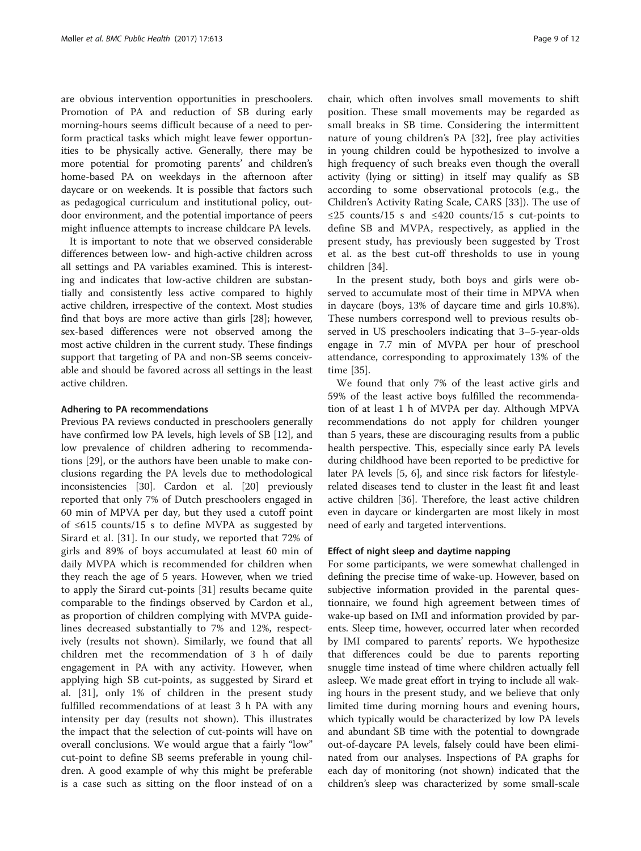are obvious intervention opportunities in preschoolers. Promotion of PA and reduction of SB during early morning-hours seems difficult because of a need to perform practical tasks which might leave fewer opportunities to be physically active. Generally, there may be more potential for promoting parents' and children's home-based PA on weekdays in the afternoon after daycare or on weekends. It is possible that factors such as pedagogical curriculum and institutional policy, outdoor environment, and the potential importance of peers might influence attempts to increase childcare PA levels.

It is important to note that we observed considerable differences between low- and high-active children across all settings and PA variables examined. This is interesting and indicates that low-active children are substantially and consistently less active compared to highly active children, irrespective of the context. Most studies find that boys are more active than girls [[28](#page-11-0)]; however, sex-based differences were not observed among the most active children in the current study. These findings support that targeting of PA and non-SB seems conceivable and should be favored across all settings in the least active children.

### Adhering to PA recommendations

Previous PA reviews conducted in preschoolers generally have confirmed low PA levels, high levels of SB [\[12](#page-10-0)], and low prevalence of children adhering to recommendations [[29\]](#page-11-0), or the authors have been unable to make conclusions regarding the PA levels due to methodological inconsistencies [\[30](#page-11-0)]. Cardon et al. [[20](#page-11-0)] previously reported that only 7% of Dutch preschoolers engaged in 60 min of MPVA per day, but they used a cutoff point of ≤615 counts/15 s to define MVPA as suggested by Sirard et al. [\[31](#page-11-0)]. In our study, we reported that 72% of girls and 89% of boys accumulated at least 60 min of daily MVPA which is recommended for children when they reach the age of 5 years. However, when we tried to apply the Sirard cut-points [[31\]](#page-11-0) results became quite comparable to the findings observed by Cardon et al., as proportion of children complying with MVPA guidelines decreased substantially to 7% and 12%, respectively (results not shown). Similarly, we found that all children met the recommendation of 3 h of daily engagement in PA with any activity. However, when applying high SB cut-points, as suggested by Sirard et al. [[31\]](#page-11-0), only 1% of children in the present study fulfilled recommendations of at least 3 h PA with any intensity per day (results not shown). This illustrates the impact that the selection of cut-points will have on overall conclusions. We would argue that a fairly "low" cut-point to define SB seems preferable in young children. A good example of why this might be preferable is a case such as sitting on the floor instead of on a

chair, which often involves small movements to shift position. These small movements may be regarded as small breaks in SB time. Considering the intermittent nature of young children's PA [\[32](#page-11-0)], free play activities in young children could be hypothesized to involve a high frequency of such breaks even though the overall activity (lying or sitting) in itself may qualify as SB according to some observational protocols (e.g., the Children's Activity Rating Scale, CARS [[33\]](#page-11-0)). The use of ≤25 counts/15 s and ≤420 counts/15 s cut-points to define SB and MVPA, respectively, as applied in the present study, has previously been suggested by Trost et al. as the best cut-off thresholds to use in young children [\[34](#page-11-0)].

In the present study, both boys and girls were observed to accumulate most of their time in MPVA when in daycare (boys, 13% of daycare time and girls 10.8%). These numbers correspond well to previous results observed in US preschoolers indicating that 3–5-year-olds engage in 7.7 min of MVPA per hour of preschool attendance, corresponding to approximately 13% of the time [\[35\]](#page-11-0).

We found that only 7% of the least active girls and 59% of the least active boys fulfilled the recommendation of at least 1 h of MVPA per day. Although MPVA recommendations do not apply for children younger than 5 years, these are discouraging results from a public health perspective. This, especially since early PA levels during childhood have been reported to be predictive for later PA levels [[5](#page-10-0), [6](#page-10-0)], and since risk factors for lifestylerelated diseases tend to cluster in the least fit and least active children [[36\]](#page-11-0). Therefore, the least active children even in daycare or kindergarten are most likely in most need of early and targeted interventions.

### Effect of night sleep and daytime napping

For some participants, we were somewhat challenged in defining the precise time of wake-up. However, based on subjective information provided in the parental questionnaire, we found high agreement between times of wake-up based on IMI and information provided by parents. Sleep time, however, occurred later when recorded by IMI compared to parents' reports. We hypothesize that differences could be due to parents reporting snuggle time instead of time where children actually fell asleep. We made great effort in trying to include all waking hours in the present study, and we believe that only limited time during morning hours and evening hours, which typically would be characterized by low PA levels and abundant SB time with the potential to downgrade out-of-daycare PA levels, falsely could have been eliminated from our analyses. Inspections of PA graphs for each day of monitoring (not shown) indicated that the children's sleep was characterized by some small-scale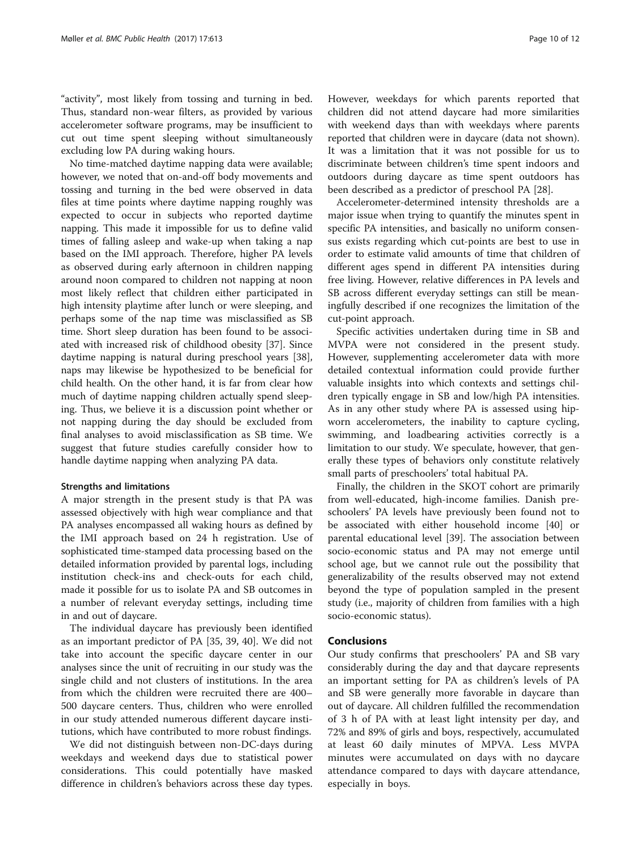"activity", most likely from tossing and turning in bed. Thus, standard non-wear filters, as provided by various accelerometer software programs, may be insufficient to cut out time spent sleeping without simultaneously excluding low PA during waking hours.

No time-matched daytime napping data were available; however, we noted that on-and-off body movements and tossing and turning in the bed were observed in data files at time points where daytime napping roughly was expected to occur in subjects who reported daytime napping. This made it impossible for us to define valid times of falling asleep and wake-up when taking a nap based on the IMI approach. Therefore, higher PA levels as observed during early afternoon in children napping around noon compared to children not napping at noon most likely reflect that children either participated in high intensity playtime after lunch or were sleeping, and perhaps some of the nap time was misclassified as SB time. Short sleep duration has been found to be associated with increased risk of childhood obesity [\[37\]](#page-11-0). Since daytime napping is natural during preschool years [\[38](#page-11-0)], naps may likewise be hypothesized to be beneficial for child health. On the other hand, it is far from clear how much of daytime napping children actually spend sleeping. Thus, we believe it is a discussion point whether or not napping during the day should be excluded from final analyses to avoid misclassification as SB time. We suggest that future studies carefully consider how to handle daytime napping when analyzing PA data.

#### Strengths and limitations

A major strength in the present study is that PA was assessed objectively with high wear compliance and that PA analyses encompassed all waking hours as defined by the IMI approach based on 24 h registration. Use of sophisticated time-stamped data processing based on the detailed information provided by parental logs, including institution check-ins and check-outs for each child, made it possible for us to isolate PA and SB outcomes in a number of relevant everyday settings, including time in and out of daycare.

The individual daycare has previously been identified as an important predictor of PA [[35, 39, 40\]](#page-11-0). We did not take into account the specific daycare center in our analyses since the unit of recruiting in our study was the single child and not clusters of institutions. In the area from which the children were recruited there are 400– 500 daycare centers. Thus, children who were enrolled in our study attended numerous different daycare institutions, which have contributed to more robust findings.

We did not distinguish between non-DC-days during weekdays and weekend days due to statistical power considerations. This could potentially have masked difference in children's behaviors across these day types. However, weekdays for which parents reported that children did not attend daycare had more similarities with weekend days than with weekdays where parents reported that children were in daycare (data not shown). It was a limitation that it was not possible for us to discriminate between children's time spent indoors and outdoors during daycare as time spent outdoors has been described as a predictor of preschool PA [\[28\]](#page-11-0).

Accelerometer-determined intensity thresholds are a major issue when trying to quantify the minutes spent in specific PA intensities, and basically no uniform consensus exists regarding which cut-points are best to use in order to estimate valid amounts of time that children of different ages spend in different PA intensities during free living. However, relative differences in PA levels and SB across different everyday settings can still be meaningfully described if one recognizes the limitation of the cut-point approach.

Specific activities undertaken during time in SB and MVPA were not considered in the present study. However, supplementing accelerometer data with more detailed contextual information could provide further valuable insights into which contexts and settings children typically engage in SB and low/high PA intensities. As in any other study where PA is assessed using hipworn accelerometers, the inability to capture cycling, swimming, and loadbearing activities correctly is a limitation to our study. We speculate, however, that generally these types of behaviors only constitute relatively small parts of preschoolers' total habitual PA.

Finally, the children in the SKOT cohort are primarily from well-educated, high-income families. Danish preschoolers' PA levels have previously been found not to be associated with either household income [\[40](#page-11-0)] or parental educational level [[39](#page-11-0)]. The association between socio-economic status and PA may not emerge until school age, but we cannot rule out the possibility that generalizability of the results observed may not extend beyond the type of population sampled in the present study (i.e., majority of children from families with a high socio-economic status).

### Conclusions

Our study confirms that preschoolers' PA and SB vary considerably during the day and that daycare represents an important setting for PA as children's levels of PA and SB were generally more favorable in daycare than out of daycare. All children fulfilled the recommendation of 3 h of PA with at least light intensity per day, and 72% and 89% of girls and boys, respectively, accumulated at least 60 daily minutes of MPVA. Less MVPA minutes were accumulated on days with no daycare attendance compared to days with daycare attendance, especially in boys.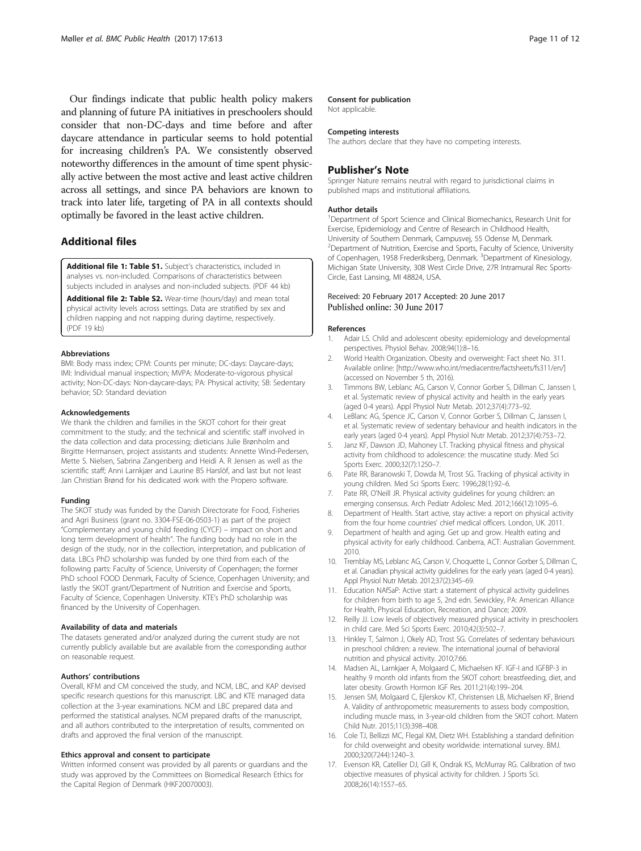<span id="page-10-0"></span>Our findings indicate that public health policy makers and planning of future PA initiatives in preschoolers should consider that non-DC-days and time before and after daycare attendance in particular seems to hold potential for increasing children's PA. We consistently observed noteworthy differences in the amount of time spent physically active between the most active and least active children across all settings, and since PA behaviors are known to track into later life, targeting of PA in all contexts should optimally be favored in the least active children.

# Additional files

[Additional file 1: Table S1.](dx.doi.org/10.1186/s12889-017-4521-3) Subject's characteristics, included in analyses vs. non-included. Comparisons of characteristics between subjects included in analyses and non-included subjects. (PDF 44 kb)

[Additional file 2: Table S2.](dx.doi.org/10.1186/s12889-017-4521-3) Wear-time (hours/day) and mean total physical activity levels across settings. Data are stratified by sex and children napping and not napping during daytime, respectively. (PDF 19 kb)

#### Abbreviations

BMI: Body mass index; CPM: Counts per minute; DC-days: Daycare-days; IMI: Individual manual inspection; MVPA: Moderate-to-vigorous physical activity; Non-DC-days: Non-daycare-days; PA: Physical activity; SB: Sedentary behavior; SD: Standard deviation

#### Acknowledgements

We thank the children and families in the SKOT cohort for their great commitment to the study; and the technical and scientific staff involved in the data collection and data processing; dieticians Julie Brønholm and Birgitte Hermansen, project assistants and students: Annette Wind-Pedersen, Mette S. Nielsen, Sabrina Zangenberg and Heidi A. R Jensen as well as the scientific staff; Anni Larnkjær and Laurine BS Harslöf, and last but not least Jan Christian Brønd for his dedicated work with the Propero software.

#### Funding

The SKOT study was funded by the Danish Directorate for Food, Fisheries and Agri Business (grant no. 3304-FSE-06-0503-1) as part of the project "Complementary and young child feeding (CYCF) – impact on short and long term development of health". The funding body had no role in the design of the study, nor in the collection, interpretation, and publication of data. LBCs PhD scholarship was funded by one third from each of the following parts: Faculty of Science, University of Copenhagen; the former PhD school FOOD Denmark, Faculty of Science, Copenhagen University; and lastly the SKOT grant/Department of Nutrition and Exercise and Sports, Faculty of Science, Copenhagen University. KTE's PhD scholarship was financed by the University of Copenhagen.

#### Availability of data and materials

The datasets generated and/or analyzed during the current study are not currently publicly available but are available from the corresponding author on reasonable request.

#### Authors' contributions

Overall, KFM and CM conceived the study, and NCM, LBC, and KAP devised specific research questions for this manuscript. LBC and KTE managed data collection at the 3-year examinations. NCM and LBC prepared data and performed the statistical analyses. NCM prepared drafts of the manuscript, and all authors contributed to the interpretation of results, commented on drafts and approved the final version of the manuscript.

#### Ethics approval and consent to participate

Written informed consent was provided by all parents or guardians and the study was approved by the Committees on Biomedical Research Ethics for the Capital Region of Denmark (HKF20070003).

#### Consent for publication

Not applicable.

#### Competing interests

The authors declare that they have no competing interests.

### Publisher's Note

Springer Nature remains neutral with regard to jurisdictional claims in published maps and institutional affiliations.

#### Author details

<sup>1</sup>Department of Sport Science and Clinical Biomechanics, Research Unit for Exercise, Epidemiology and Centre of Research in Childhood Health, University of Southern Denmark, Campusvej, 55 Odense M, Denmark. <sup>2</sup>Department of Nutrition, Exercise and Sports, Faculty of Science, University of Copenhagen, 1958 Frederiksberg, Denmark. <sup>3</sup>Department of Kinesiology Michigan State University, 308 West Circle Drive, 27R Intramural Rec Sports-Circle, East Lansing, MI 48824, USA.

#### Received: 20 February 2017 Accepted: 20 June 2017 Published online: 30 June 2017

#### References

- 1. Adair LS. Child and adolescent obesity: epidemiology and developmental perspectives. Physiol Behav. 2008;94(1):8–16.
- 2. World Health Organization. Obesity and overweight: Fact sheet No. 311. Available online: [\[http://www.who.int/mediacentre/factsheets/fs311/en/](http://www.who.int/mediacentre/factsheets/fs311/en)] (accessed on November 5 th, 2016).
- 3. Timmons BW, Leblanc AG, Carson V, Connor Gorber S, Dillman C, Janssen I, et al. Systematic review of physical activity and health in the early years (aged 0-4 years). Appl Physiol Nutr Metab. 2012;37(4):773–92.
- 4. LeBlanc AG, Spence JC, Carson V, Connor Gorber S, Dillman C, Janssen I, et al. Systematic review of sedentary behaviour and health indicators in the early years (aged 0-4 years). Appl Physiol Nutr Metab. 2012;37(4):753–72.
- 5. Janz KF, Dawson JD, Mahoney LT. Tracking physical fitness and physical activity from childhood to adolescence: the muscatine study. Med Sci Sports Exerc. 2000;32(7):1250–7.
- 6. Pate RR, Baranowski T, Dowda M, Trost SG. Tracking of physical activity in young children. Med Sci Sports Exerc. 1996;28(1):92–6.
- Pate RR, O'Neill JR. Physical activity guidelines for young children: an emerging consensus. Arch Pediatr Adolesc Med. 2012;166(12):1095–6.
- 8. Department of Health. Start active, stay active: a report on physical activity from the four home countries' chief medical officers. London, UK. 2011.
- 9. Department of health and aging. Get up and grow. Health eating and physical activity for early childhood. Canberra, ACT: Australian Government. 2010.
- 10. Tremblay MS, Leblanc AG, Carson V, Choquette L, Connor Gorber S, Dillman C, et al. Canadian physical activity guidelines for the early years (aged 0-4 years). Appl Physiol Nutr Metab. 2012;37(2):345–69.
- 11. Education NAfSaP: Active start: a statement of physical activity guidelines for children from birth to age 5, 2nd edn. Sewickley, PA: American Alliance for Health, Physical Education, Recreation, and Dance; 2009.
- 12. Reilly JJ. Low levels of objectively measured physical activity in preschoolers in child care. Med Sci Sports Exerc. 2010;42(3):502–7.
- 13. Hinkley T, Salmon J, Okely AD, Trost SG. Correlates of sedentary behaviours in preschool children: a review. The international journal of behavioral nutrition and physical activity. 2010;7:66.
- 14. Madsen AL, Larnkjaer A, Molgaard C, Michaelsen KF. IGF-I and IGFBP-3 in healthy 9 month old infants from the SKOT cohort: breastfeeding, diet, and later obesity. Growth Hormon IGF Res. 2011;21(4):199–204.
- 15. Jensen SM, Molgaard C, Ejlerskov KT, Christensen LB, Michaelsen KF, Briend A. Validity of anthropometric measurements to assess body composition, including muscle mass, in 3-year-old children from the SKOT cohort. Matern Child Nutr. 2015;11(3):398–408.
- 16. Cole TJ, Bellizzi MC, Flegal KM, Dietz WH. Establishing a standard definition for child overweight and obesity worldwide: international survey. BMJ. 2000;320(7244):1240–3.
- 17. Evenson KR, Catellier DJ, Gill K, Ondrak KS, McMurray RG. Calibration of two objective measures of physical activity for children. J Sports Sci. 2008;26(14):1557–65.